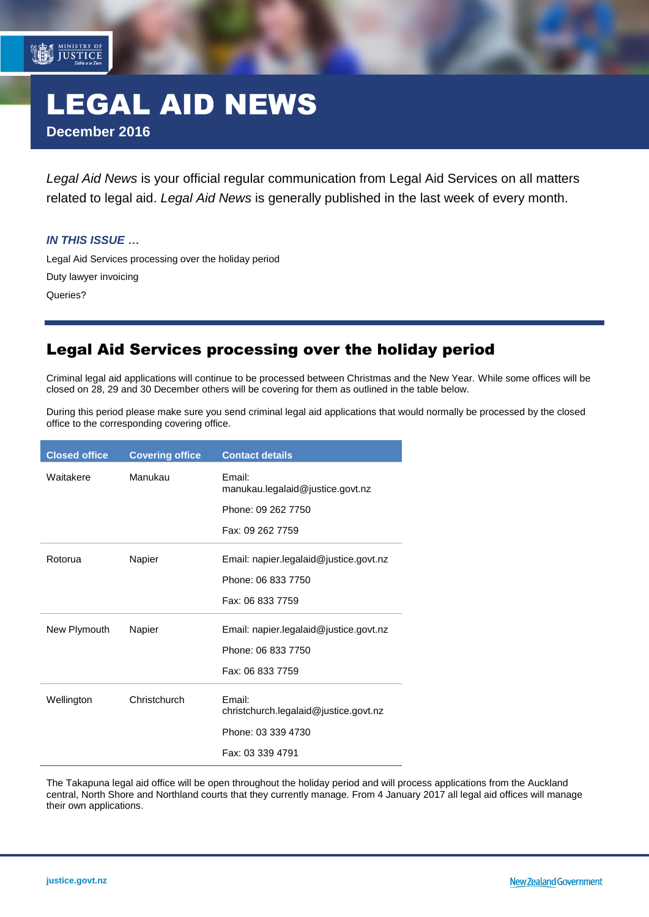# LEGAL AID NEWS **December 2016**

*Legal Aid News* is your official regular communication from Legal Aid Services on all matters related to legal aid. *Legal Aid News* is generally published in the last week of every month.

#### *IN THIS ISSUE …*

MINISTRY OF<br>JUSTICE

[Legal Aid Services processing over the holiday period](#page-0-0) [Duty](#page-0-1) lawyer invoicing [Queries?](#page-1-0)

### <span id="page-0-0"></span>Legal Aid Services processing over the holiday period

<span id="page-0-1"></span>Criminal legal aid applications will continue to be processed between Christmas and the New Year. While some offices will be closed on 28, 29 and 30 December others will be covering for them as outlined in the table below.

During this period please make sure you send criminal legal aid applications that would normally be processed by the closed office to the corresponding covering office.

| <b>Closed office</b> | <b>Covering office</b> | <b>Contact details</b>                          |
|----------------------|------------------------|-------------------------------------------------|
| Waitakere            | Manukau                | Email:<br>manukau.legalaid@justice.govt.nz      |
|                      |                        | Phone: 09 262 7750                              |
|                      |                        | Fax: 09 262 7759                                |
| Rotorua              | Napier                 | Email: napier.legalaid@justice.govt.nz          |
|                      |                        | Phone: 06 833 7750                              |
|                      |                        | Fax: 06 833 7759                                |
| New Plymouth         | Napier                 | Email: napier.legalaid@justice.govt.nz          |
|                      |                        | Phone: 06 833 7750                              |
|                      |                        | Fax: 06 833 7759                                |
| Wellington           | Christchurch           | Email:<br>christchurch.legalaid@justice.govt.nz |
|                      |                        | Phone: 03 339 4730                              |
|                      |                        | Fax: 03 339 4791                                |

The Takapuna legal aid office will be open throughout the holiday period and will process applications from the Auckland central, North Shore and Northland courts that they currently manage. From 4 January 2017 all legal aid offices will manage their own applications.